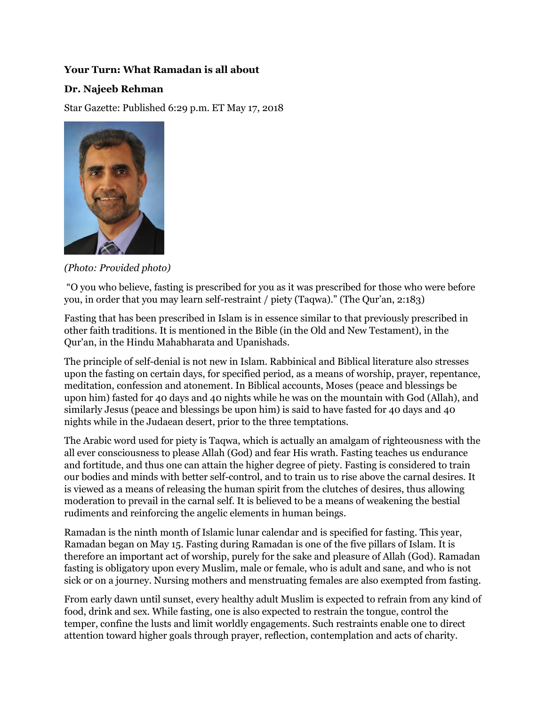## **Your Turn: What Ramadan is all about**

## **Dr. Najeeb Rehman**

Star Gazette: Published 6:29 p.m. ET May 17, 2018



*(Photo: Provided photo)*

"O you who believe, fasting is prescribed for you as it was prescribed for those who were before you, in order that you may learn self-restraint / piety (Taqwa)." (The Qur'an, 2:183)

Fasting that has been prescribed in Islam is in essence similar to that previously prescribed in other faith traditions. It is mentioned in the Bible (in the Old and New Testament), in the Qur'an, in the Hindu Mahabharata and Upanishads.

The principle of self-denial is not new in Islam. Rabbinical and Biblical literature also stresses upon the fasting on certain days, for specified period, as a means of worship, prayer, repentance, meditation, confession and atonement. In Biblical accounts, Moses (peace and blessings be upon him) fasted for 40 days and 40 nights while he was on the mountain with God (Allah), and similarly Jesus (peace and blessings be upon him) is said to have fasted for 40 days and 40 nights while in the Judaean desert, prior to the three temptations.

The Arabic word used for piety is Taqwa, which is actually an amalgam of righteousness with the all ever consciousness to please Allah (God) and fear His wrath. Fasting teaches us endurance and fortitude, and thus one can attain the higher degree of piety. Fasting is considered to train our bodies and minds with better self-control, and to train us to rise above the carnal desires. It is viewed as a means of releasing the human spirit from the clutches of desires, thus allowing moderation to prevail in the carnal self. It is believed to be a means of weakening the bestial rudiments and reinforcing the angelic elements in human beings.

Ramadan is the ninth month of Islamic lunar calendar and is specified for fasting. This year, Ramadan began on May 15. Fasting during Ramadan is one of the five pillars of Islam. It is therefore an important act of worship, purely for the sake and pleasure of Allah (God). Ramadan fasting is obligatory upon every Muslim, male or female, who is adult and sane, and who is not sick or on a journey. Nursing mothers and menstruating females are also exempted from fasting.

From early dawn until sunset, every healthy adult Muslim is expected to refrain from any kind of food, drink and sex. While fasting, one is also expected to restrain the tongue, control the temper, confine the lusts and limit worldly engagements. Such restraints enable one to direct attention toward higher goals through prayer, reflection, contemplation and acts of charity.